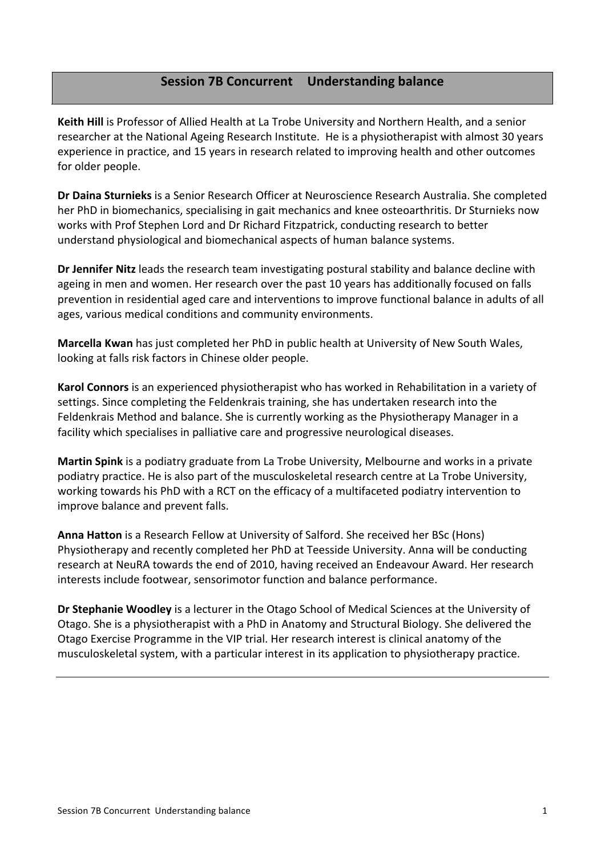# **Session'7B'Concurrent Understanding'balance**

Keith Hill is Professor of Allied Health at La Trobe University and Northern Health, and a senior researcher at the National Ageing Research Institute. He is a physiotherapist with almost 30 years experience in practice, and 15 years in research related to improving health and other outcomes for older people.

**Dr Daina Sturnieks** is a Senior Research Officer at Neuroscience Research Australia. She completed her PhD in biomechanics, specialising in gait mechanics and knee osteoarthritis. Dr Sturnieks now works'with'Prof'Stephen'Lord'and'Dr'Richard Fitzpatrick,'conducting'research'to'better' understand physiological and biomechanical aspects of human balance systems.

**Dr Jennifer Nitz** leads the research team investigating postural stability and balance decline with ageing in men and women. Her research over the past 10 years has additionally focused on falls prevention in residential aged care and interventions to improve functional balance in adults of all ages, various medical conditions and community environments.

**Marcella Kwan** has just completed her PhD in public health at University of New South Wales, looking at falls risk factors in Chinese older people.

**Karol Connors** is an experienced physiotherapist who has worked in Rehabilitation in a variety of settings. Since completing the Feldenkrais training, she has undertaken research into the Feldenkrais Method and balance. She is currently working as the Physiotherapy Manager in a facility which specialises in palliative care and progressive neurological diseases.

**Martin Spink** is a podiatry graduate from La Trobe University, Melbourne and works in a private podiatry practice. He is also part of the musculoskeletal research centre at La Trobe University, working towards his PhD with a RCT on the efficacy of a multifaceted podiatry intervention to improve balance and prevent falls.

Anna Hatton is a Research Fellow at University of Salford. She received her BSc (Hons) Physiotherapy and recently completed her PhD at Teesside University. Anna will be conducting research at NeuRA towards the end of 2010, having received an Endeavour Award. Her research interests include footwear, sensorimotor function and balance performance.

**Dr Stephanie Woodley** is a lecturer in the Otago School of Medical Sciences at the University of Otago. She is a physiotherapist with a PhD in Anatomy and Structural Biology. She delivered the Otago Exercise Programme in the VIP trial. Her research interest is clinical anatomy of the musculoskeletal system, with a particular interest in its application to physiotherapy practice.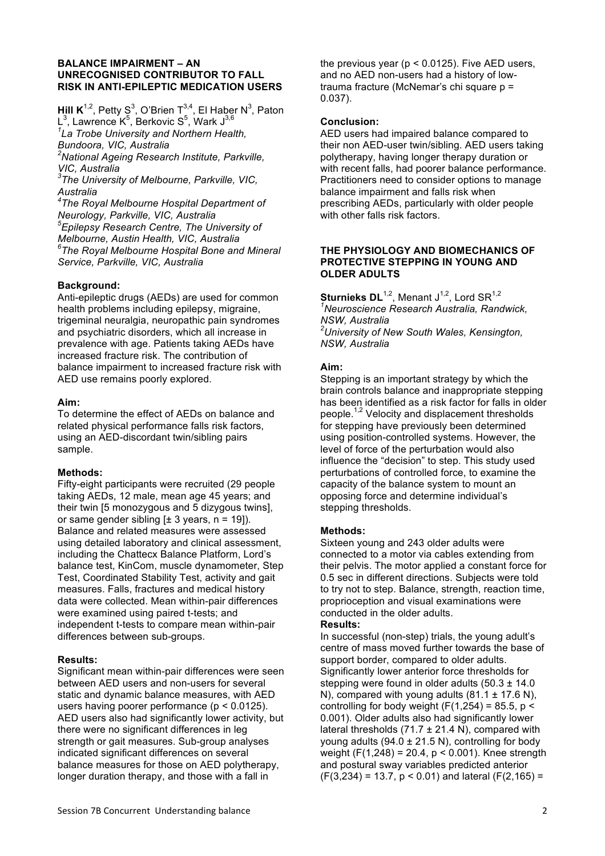### **BALANCE IMPAIRMENT – AN UNRECOGNISED CONTRIBUTOR TO FALL RISK IN ANTI-EPILEPTIC MEDICATION USERS**

**Hill K**<sup>1,2</sup>, Petty S<sup>3</sup>, O'Brien T<sup>3,4</sup>, El Haber N<sup>3</sup>, Paton  $\mathsf{L}^3$ , Lawrence K $^5$ , Berkovic S $^5$ , Wark J $^{3,6}$ 

*1 La Trobe University and Northern Health, Bundoora, VIC, Australia*

*2 National Ageing Research Institute, Parkville, VIC, Australia 3 The University of Melbourne, Parkville, VIC,* 

*Australia*

*4 The Royal Melbourne Hospital Department of Neurology, Parkville, VIC, Australia 5 Epilepsy Research Centre, The University of Melbourne, Austin Health, VIC, Australia 6 The Royal Melbourne Hospital Bone and Mineral Service, Parkville, VIC, Australia*

# **Background:**

Anti-epileptic drugs (AEDs) are used for common health problems including epilepsy, migraine, trigeminal neuralgia, neuropathic pain syndromes and psychiatric disorders, which all increase in prevalence with age. Patients taking AEDs have increased fracture risk. The contribution of balance impairment to increased fracture risk with AED use remains poorly explored.

# **Aim:**

To determine the effect of AEDs on balance and related physical performance falls risk factors, using an AED-discordant twin/sibling pairs sample.

# **Methods:**

Fifty-eight participants were recruited (29 people taking AEDs, 12 male, mean age 45 years; and their twin [5 monozygous and 5 dizygous twins], or same gender sibling  $[± 3 \text{ years}, n = 19]$ ). Balance and related measures were assessed using detailed laboratory and clinical assessment, including the Chattecx Balance Platform, Lord's balance test, KinCom, muscle dynamometer, Step Test, Coordinated Stability Test, activity and gait measures. Falls, fractures and medical history data were collected. Mean within-pair differences were examined using paired t-tests; and independent t-tests to compare mean within-pair differences between sub-groups.

# **Results:**

Significant mean within-pair differences were seen between AED users and non-users for several static and dynamic balance measures, with AED users having poorer performance (p < 0.0125). AED users also had significantly lower activity, but there were no significant differences in leg strength or gait measures. Sub-group analyses indicated significant differences on several balance measures for those on AED polytherapy, longer duration therapy, and those with a fall in

the previous year ( $p < 0.0125$ ). Five AED users, and no AED non-users had a history of lowtrauma fracture (McNemar's chi square  $p =$ 0.037).

# **Conclusion:**

AED users had impaired balance compared to their non AED-user twin/sibling. AED users taking polytherapy, having longer therapy duration or with recent falls, had poorer balance performance. Practitioners need to consider options to manage balance impairment and falls risk when prescribing AEDs, particularly with older people with other falls risk factors.

### **THE PHYSIOLOGY AND BIOMECHANICS OF PROTECTIVE STEPPING IN YOUNG AND OLDER ADULTS**

**Sturnieks DL**<sup>1,2</sup>, Menant J<sup>1,2</sup>, Lord SR<sup>1,2</sup> *1 Neuroscience Research Australia, Randwick, NSW, Australia 2 University of New South Wales, Kensington, NSW, Australia*

# **Aim:**

Stepping is an important strategy by which the brain controls balance and inappropriate stepping has been identified as a risk factor for falls in older people.<sup>1,2</sup> Velocity and displacement thresholds for stepping have previously been determined using position-controlled systems. However, the level of force of the perturbation would also influence the "decision" to step. This study used perturbations of controlled force, to examine the capacity of the balance system to mount an opposing force and determine individual's stepping thresholds.

# **Methods:**

Sixteen young and 243 older adults were connected to a motor via cables extending from their pelvis. The motor applied a constant force for 0.5 sec in different directions. Subjects were told to try not to step. Balance, strength, reaction time, proprioception and visual examinations were conducted in the older adults.

# **Results:**

In successful (non-step) trials, the young adult's centre of mass moved further towards the base of support border, compared to older adults. Significantly lower anterior force thresholds for stepping were found in older adults  $(50.3 \pm 14.0)$ N), compared with young adults  $(81.1 \pm 17.6 \text{ N})$ , controlling for body weight (F(1,254) = 85.5,  $p <$ 0.001). Older adults also had significantly lower lateral thresholds  $(71.7 \pm 21.4 \text{ N})$ , compared with young adults  $(94.0 \pm 21.5 \text{ N})$ , controlling for body weight (F(1,248) = 20.4,  $p < 0.001$ ). Knee strength and postural sway variables predicted anterior  $(F(3.234) = 13.7, p < 0.01)$  and lateral (F(2.165) =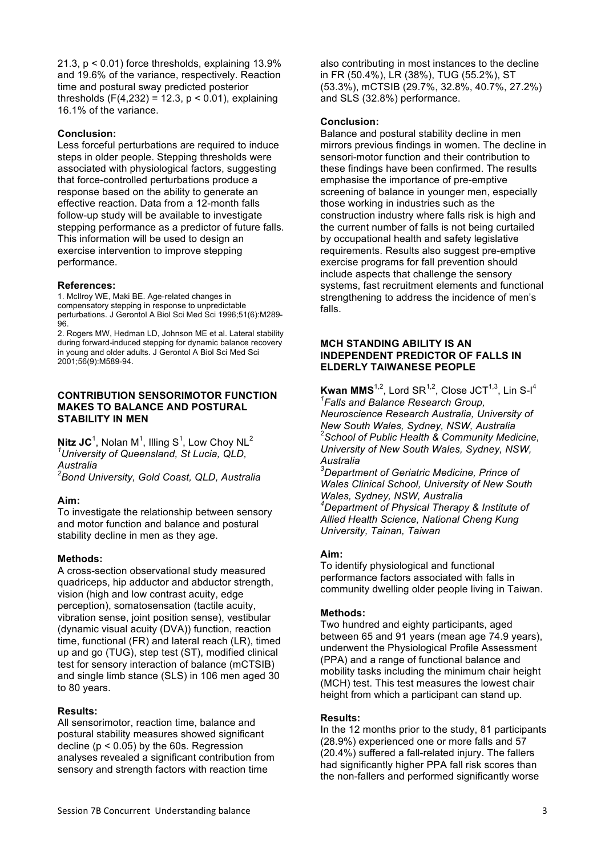21.3,  $p < 0.01$ ) force thresholds, explaining 13.9% and 19.6% of the variance, respectively. Reaction time and postural sway predicted posterior thresholds  $(F(4,232) = 12.3, p < 0.01)$ , explaining 16.1% of the variance.

### **Conclusion:**

Less forceful perturbations are required to induce steps in older people. Stepping thresholds were associated with physiological factors, suggesting that force-controlled perturbations produce a response based on the ability to generate an effective reaction. Data from a 12-month falls follow-up study will be available to investigate stepping performance as a predictor of future falls. This information will be used to design an exercise intervention to improve stepping performance.

#### **References:**

1. McIlroy WE, Maki BE. Age-related changes in compensatory stepping in response to unpredictable perturbations. J Gerontol A Biol Sci Med Sci 1996;51(6):M289- 96.

2. Rogers MW, Hedman LD, Johnson ME et al. Lateral stability during forward-induced stepping for dynamic balance recovery in young and older adults. J Gerontol A Biol Sci Med Sci 2001;56(9):M589-94.

### **CONTRIBUTION SENSORIMOTOR FUNCTION MAKES TO BALANCE AND POSTURAL STABILITY IN MEN**

 $\mathsf{Nitz}\ \mathsf{JC}^1$ , Nolan M $^1$ , Illing S $^1$ , Low Choy NL $^2$ *1 University of Queensland, St Lucia, QLD, Australia*

*2 Bond University, Gold Coast, QLD, Australia*

# **Aim:**

To investigate the relationship between sensory and motor function and balance and postural stability decline in men as they age.

#### **Methods:**

A cross-section observational study measured quadriceps, hip adductor and abductor strength, vision (high and low contrast acuity, edge perception), somatosensation (tactile acuity, vibration sense, joint position sense), vestibular (dynamic visual acuity (DVA)) function, reaction time, functional (FR) and lateral reach (LR), timed up and go (TUG), step test (ST), modified clinical test for sensory interaction of balance (mCTSIB) and single limb stance (SLS) in 106 men aged 30 to 80 years.

### **Results:**

All sensorimotor, reaction time, balance and postural stability measures showed significant decline ( $p < 0.05$ ) by the 60s. Regression analyses revealed a significant contribution from sensory and strength factors with reaction time

also contributing in most instances to the decline in FR (50.4%), LR (38%), TUG (55.2%), ST (53.3%), mCTSIB (29.7%, 32.8%, 40.7%, 27.2%) and SLS (32.8%) performance.

#### **Conclusion:**

Balance and postural stability decline in men mirrors previous findings in women. The decline in sensori-motor function and their contribution to these findings have been confirmed. The results emphasise the importance of pre-emptive screening of balance in younger men, especially those working in industries such as the construction industry where falls risk is high and the current number of falls is not being curtailed by occupational health and safety legislative requirements. Results also suggest pre-emptive exercise programs for fall prevention should include aspects that challenge the sensory systems, fast recruitment elements and functional strengthening to address the incidence of men's falls.

### **MCH STANDING ABILITY IS AN INDEPENDENT PREDICTOR OF FALLS IN ELDERLY TAIWANESE PEOPLE**

**Kwan MMS**<sup>1,2</sup>, Lord SR<sup>1,2</sup>, Close JCT<sup>1,3</sup>, Lin S-I<sup>4</sup> *1 Falls and Balance Research Group, Neuroscience Research Australia, University of New South Wales, Sydney, NSW, Australia 2 School of Public Health & Community Medicine, University of New South Wales, Sydney, NSW, Australia*

*3 Department of Geriatric Medicine, Prince of Wales Clinical School, University of New South Wales, Sydney, NSW, Australia 4 Department of Physical Therapy & Institute of* 

*Allied Health Science, National Cheng Kung University, Tainan, Taiwan*

# **Aim:**

To identify physiological and functional performance factors associated with falls in community dwelling older people living in Taiwan.

#### **Methods:**

Two hundred and eighty participants, aged between 65 and 91 years (mean age 74.9 years), underwent the Physiological Profile Assessment (PPA) and a range of functional balance and mobility tasks including the minimum chair height (MCH) test. This test measures the lowest chair height from which a participant can stand up.

#### **Results:**

In the 12 months prior to the study, 81 participants (28.9%) experienced one or more falls and 57 (20.4%) suffered a fall-related injury. The fallers had significantly higher PPA fall risk scores than the non-fallers and performed significantly worse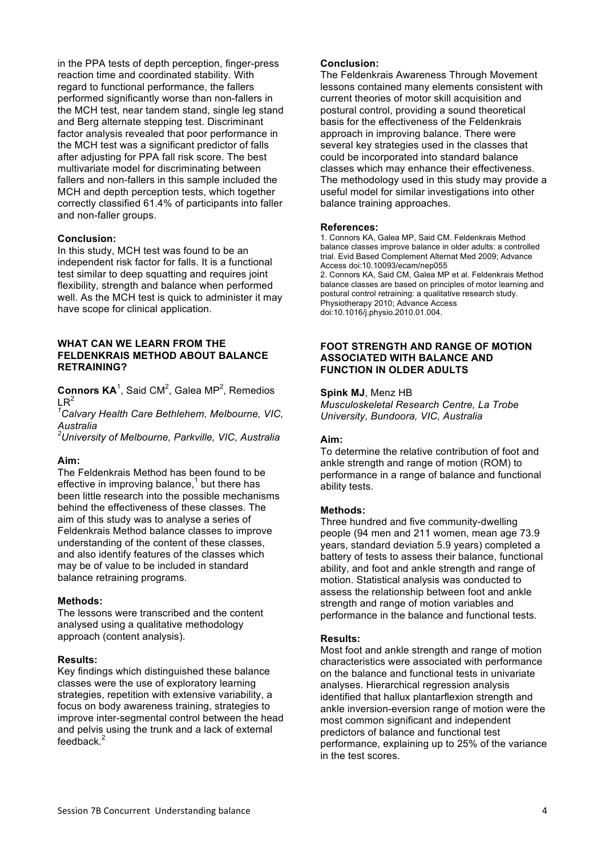in the PPA tests of depth perception, finger-press reaction time and coordinated stability. With regard to functional performance, the fallers performed significantly worse than non-fallers in the MCH test, near tandem stand, single leg stand and Berg alternate stepping test. Discriminant factor analysis revealed that poor performance in the MCH test was a significant predictor of falls after adjusting for PPA fall risk score. The best multivariate model for discriminating between fallers and non-fallers in this sample included the MCH and depth perception tests, which together correctly classified 61.4% of participants into faller and non-faller groups.

# **Conclusion:**

In this study, MCH test was found to be an independent risk factor for falls. It is a functional test similar to deep squatting and requires joint flexibility, strength and balance when performed well. As the MCH test is quick to administer it may have scope for clinical application.

#### **WHAT CAN WE LEARN FROM THE FELDENKRAIS METHOD ABOUT BALANCE RETRAINING?**

**Connors KA**<sup>1</sup>, Said CM<sup>2</sup>, Galea MP<sup>2</sup>, Remedios  $LR^2$ 

*1 Calvary Health Care Bethlehem, Melbourne, VIC, Australia*

*2 University of Melbourne, Parkville, VIC, Australia*

### **Aim:**

The Feldenkrais Method has been found to be effective in improving balance,<sup>1</sup> but there has been little research into the possible mechanisms behind the effectiveness of these classes. The aim of this study was to analyse a series of Feldenkrais Method balance classes to improve understanding of the content of these classes, and also identify features of the classes which may be of value to be included in standard balance retraining programs.

#### **Methods:**

The lessons were transcribed and the content analysed using a qualitative methodology approach (content analysis).

#### **Results:**

Key findings which distinguished these balance classes were the use of exploratory learning strategies, repetition with extensive variability, a focus on body awareness training, strategies to improve inter-segmental control between the head and pelvis using the trunk and a lack of external feedback.<sup>2</sup>

### **Conclusion:**

The Feldenkrais Awareness Through Movement lessons contained many elements consistent with current theories of motor skill acquisition and postural control, providing a sound theoretical basis for the effectiveness of the Feldenkrais approach in improving balance. There were several key strategies used in the classes that could be incorporated into standard balance classes which may enhance their effectiveness. The methodology used in this study may provide a useful model for similar investigations into other balance training approaches.

#### **References:**

1. Connors KA, Galea MP, Said CM. Feldenkrais Method balance classes improve balance in older adults: a controlled trial. Evid Based Complement Alternat Med 2009; Advance Access doi:10.10093/ecam/nep055 2. Connors KA, Said CM, Galea MP et al. Feldenkrais Method balance classes are based on principles of motor learning and postural control retraining: a qualitative research study. Physiotherapy 2010; Advance Access doi:10.1016/j.physio.2010.01.004.

#### **FOOT STRENGTH AND RANGE OF MOTION ASSOCIATED WITH BALANCE AND FUNCTION IN OLDER ADULTS**

#### **Spink MJ**, Menz HB

*Musculoskeletal Research Centre, La Trobe University, Bundoora, VIC, Australia*

### **Aim:**

To determine the relative contribution of foot and ankle strength and range of motion (ROM) to performance in a range of balance and functional ability tests.

#### **Methods:**

Three hundred and five community-dwelling people (94 men and 211 women, mean age 73.9 years, standard deviation 5.9 years) completed a battery of tests to assess their balance, functional ability, and foot and ankle strength and range of motion. Statistical analysis was conducted to assess the relationship between foot and ankle strength and range of motion variables and performance in the balance and functional tests.

### **Results:**

Most foot and ankle strength and range of motion characteristics were associated with performance on the balance and functional tests in univariate analyses. Hierarchical regression analysis identified that hallux plantarflexion strength and ankle inversion-eversion range of motion were the most common significant and independent predictors of balance and functional test performance, explaining up to 25% of the variance in the test scores.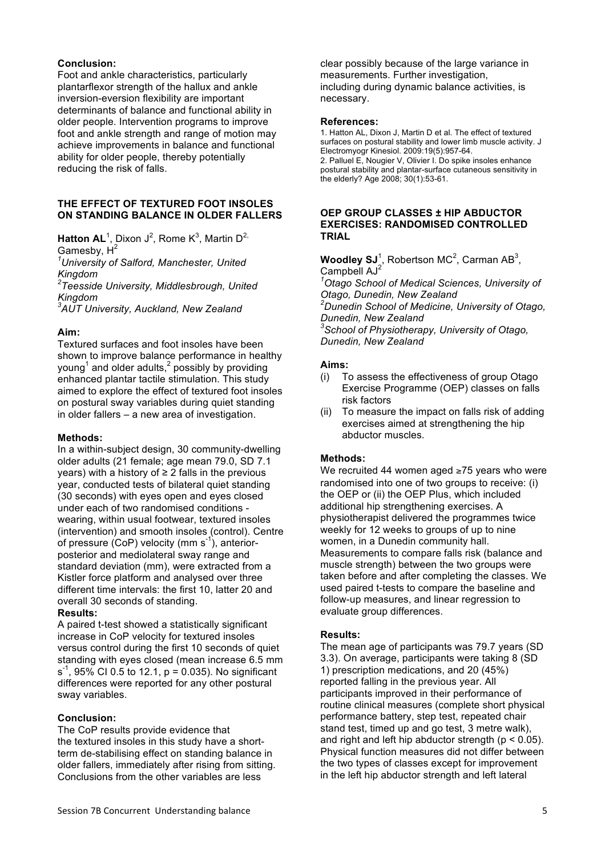### **Conclusion:**

Foot and ankle characteristics, particularly plantarflexor strength of the hallux and ankle inversion-eversion flexibility are important determinants of balance and functional ability in older people. Intervention programs to improve foot and ankle strength and range of motion may achieve improvements in balance and functional ability for older people, thereby potentially reducing the risk of falls.

### **THE EFFECT OF TEXTURED FOOT INSOLES ON STANDING BALANCE IN OLDER FALLERS**

**Hatton AL**<sup>1</sup>, Dixon J<sup>2</sup>, Rome K<sup>3</sup>, Martin D<sup>2,</sup> Gamesby, H<sup>2</sup>

*1 University of Salford, Manchester, United Kingdom*

*2 Teesside University, Middlesbrough, United Kingdom*

*3 AUT University, Auckland, New Zealand*

### **Aim:**

Textured surfaces and foot insoles have been shown to improve balance performance in healthy young<sup>1</sup> and older adults,<sup>2</sup> possibly by providing enhanced plantar tactile stimulation. This study aimed to explore the effect of textured foot insoles on postural sway variables during quiet standing in older fallers – a new area of investigation.

# **Methods:**

In a within-subject design, 30 community-dwelling older adults (21 female; age mean 79.0, SD 7.1 years) with a history of  $≥$  2 falls in the previous year, conducted tests of bilateral quiet standing (30 seconds) with eyes open and eyes closed under each of two randomised conditions wearing, within usual footwear, textured insoles (intervention) and smooth insoles (control). Centre of pressure (CoP) velocity (mm s<sup>-1</sup>), anteriorposterior and mediolateral sway range and standard deviation (mm), were extracted from a Kistler force platform and analysed over three different time intervals: the first 10, latter 20 and overall 30 seconds of standing.

#### **Results:**

A paired t-test showed a statistically significant increase in CoP velocity for textured insoles versus control during the first 10 seconds of quiet standing with eyes closed (mean increase 6.5 mm  $s^{-1}$ , 95% CI 0.5 to 12.1, p = 0.035). No significant differences were reported for any other postural sway variables.

#### **Conclusion:**

The CoP results provide evidence that the textured insoles in this study have a shortterm de-stabilising effect on standing balance in older fallers, immediately after rising from sitting. Conclusions from the other variables are less

clear possibly because of the large variance in measurements. Further investigation, including during dynamic balance activities, is necessary.

#### **References:**

1. Hatton AL, Dixon J, Martin D et al. The effect of textured surfaces on postural stability and lower limb muscle activity. J Electromyogr Kinesiol. 2009:19(5):957-64. 2. Palluel E, Nougier V, Olivier I. Do spike insoles enhance postural stability and plantar-surface cutaneous sensitivity in the elderly? Age 2008; 30(1):53-61.

### **OEP GROUP CLASSES ± HIP ABDUCTOR EXERCISES: RANDOMISED CONTROLLED TRIAL**

**Woodley SJ**<sup>1</sup>, Robertson MC<sup>2</sup>, Carman AB<sup>3</sup>, Campbell AJ<sup>2</sup>

*1 Otago School of Medical Sciences, University of Otago, Dunedin, New Zealand 2 Dunedin School of Medicine, University of Otago, Dunedin, New Zealand 3 School of Physiotherapy, University of Otago, Dunedin, New Zealand*

### **Aims:**

- (i) To assess the effectiveness of group Otago Exercise Programme (OEP) classes on falls risk factors
- (ii) To measure the impact on falls risk of adding exercises aimed at strengthening the hip abductor muscles.

#### **Methods:**

We recruited 44 women aged ≥75 years who were randomised into one of two groups to receive: (i) the OEP or (ii) the OEP Plus, which included additional hip strengthening exercises. A physiotherapist delivered the programmes twice weekly for 12 weeks to groups of up to nine women, in a Dunedin community hall. Measurements to compare falls risk (balance and muscle strength) between the two groups were taken before and after completing the classes. We used paired t-tests to compare the baseline and follow-up measures, and linear regression to evaluate group differences.

#### **Results:**

The mean age of participants was 79.7 years (SD 3.3). On average, participants were taking 8 (SD 1) prescription medications, and 20 (45%) reported falling in the previous year. All participants improved in their performance of routine clinical measures (complete short physical performance battery, step test, repeated chair stand test, timed up and go test, 3 metre walk), and right and left hip abductor strength ( $p < 0.05$ ). Physical function measures did not differ between the two types of classes except for improvement in the left hip abductor strength and left lateral